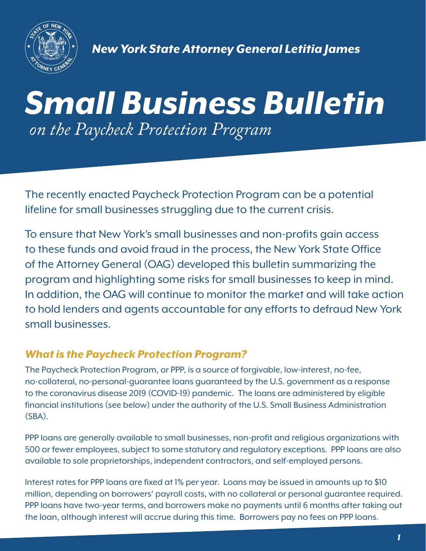

 *New York State Attorney General Letitia James*

# *Small Business Bulletin on the Paycheck Protection Program*

The recently enacted Paycheck Protection Program can be a potential lifeline for small businesses struggling due to the current crisis.

To ensure that New York's small businesses and non-profits gain access to these funds and avoid fraud in the process, the New York State Office of the Attorney General (OAG) developed this bulletin summarizing the program and highlighting some risks for small businesses to keep in mind. In addition, the OAG will continue to monitor the market and will take action to hold lenders and agents accountable for any efforts to defraud New York small businesses.

### *What is the Paycheck Protection Program?*

The Paycheck Protection Program, or PPP, is a source of forgivable, low-interest, no-fee, no-collateral, no-personal-guarantee loans guaranteed by the U.S. government as a response to the coronavirus disease 2019 (COVID-19) pandemic. The loans are administered by eligible financial institutions (see below) under the authority of the U.S. Small Business Administration (SBA).

PPP loans are generally available to small businesses, non-profit and religious organizations with 500 or fewer employees, subject to some statutory and regulatory exceptions. PPP loans are also available to sole proprietorships, independent contractors, and self-employed persons.

Interest rates for PPP loans are fixed at 1% per year. Loans may be issued in amounts up to \$10 million, depending on borrowers' payroll costs, with no collateral or personal guarantee required. PPP loans have two-year terms, and borrowers make no payments until 6 months after taking out the loan, although interest will accrue during this time. Borrowers pay no fees on PPP loans.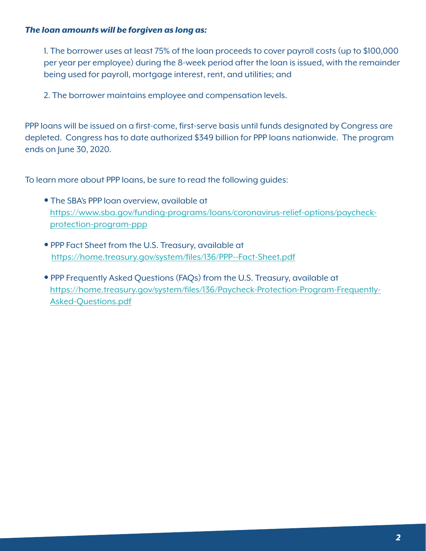#### *The loan amounts will be forgiven as long as:*

1. The borrower uses at least 75% of the loan proceeds to cover payroll costs (up to \$100,000 per year per employee) during the 8-week period after the loan is issued, with the remainder being used for payroll, mortgage interest, rent, and utilities; and

2. The borrower maintains employee and compensation levels.

PPP loans will be issued on a first-come, first-serve basis until funds designated by Congress are depleted. Congress has to date authorized \$349 billion for PPP loans nationwide. The program ends on June 30, 2020.

To learn more about PPP loans, be sure to read the following guides:

- The SBA's PPP loan overview, available at [https://www.sba.gov/funding-programs/loans/coronavirus-relief-options/paycheck](https://www.sba.gov/funding-programs/loans/coronavirus-relief-options/paycheck-protection-program-ppp)protection-program-ppp
- PPP Fact Sheet from the U.S. Treasury, available at <https://home.treasury.gov/system/files/136/PPP--Fact-Sheet.pdf>
- PPP Frequently Asked Questions (FAQs) from the U.S. Treasury, available at [https://home.treasury.gov/system/files/136/Paycheck-Protection-Program-Frequently-](https://home.treasury.gov/system/files/136/Paycheck-Protection-Program-Frequently-Asked-Questions.pdf)Asked-Questions.pdf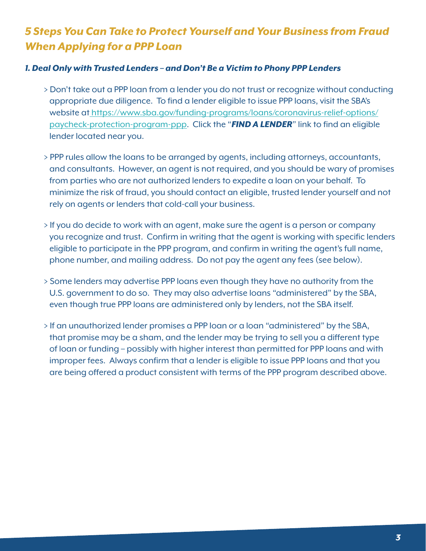# *5 Steps You Can Take to Protect Yourself and Your Business from Fraud When Applying for a PPP Loan*

#### *1. Deal Only with Trusted Lenders – and Don't Be a Victim to Phony PPP Lenders*

- � Don't take out a PPP loan from a lender you do not trust or recognize without conducting appropriate due diligence. To find a lender eligible to issue PPP loans, visit the SBA's  [website at https://www.sba.gov/funding-programs/loans/coronavirus-relief-options/](https://www.sba.gov/funding-programs/loans/coronavirus-relief-options/paycheck-protection-program-ppp) paycheck-protection-program-ppp. Click the "*FIND A LENDER*" link to find an eligible lender located near you.
- � PPP rules allow the loans to be arranged by agents, including attorneys, accountants, and consultants. However, an agent is not required, and you should be wary of promises from parties who are not authorized lenders to expedite a loan on your behalf. To minimize the risk of fraud, you should contact an eligible, trusted lender yourself and not rely on agents or lenders that cold-call your business.
- � If you do decide to work with an agent, make sure the agent is a person or company you recognize and trust. Confirm in writing that the agent is working with specific lenders eligible to participate in the PPP program, and confirm in writing the agent's full name, phone number, and mailing address. Do not pay the agent any fees (see below).
- � Some lenders may advertise PPP loans even though they have no authority from the U.S. government to do so. They may also advertise loans "administered" by the SBA, even though true PPP loans are administered only by lenders, not the SBA itself.
- � If an unauthorized lender promises a PPP loan or a loan "administered" by the SBA, that promise may be a sham, and the lender may be trying to sell you a different type of loan or funding – possibly with higher interest than permitted for PPP loans and with improper fees. Always confirm that a lender is eligible to issue PPP loans and that you are being offered a product consistent with terms of the PPP program described above.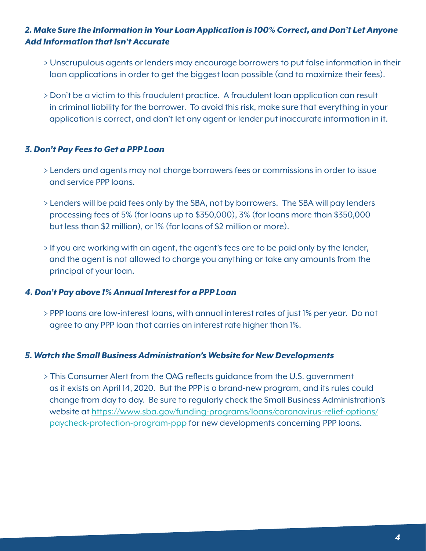#### *2. Make Sure the Information in Your Loan Application is 100% Correct, and Don't Let Anyone Add Information that Isn't Accurate*

- � Unscrupulous agents or lenders may encourage borrowers to put false information in their loan applications in order to get the biggest loan possible (and to maximize their fees).
- � Don't be a victim to this fraudulent practice. A fraudulent loan application can result in criminal liability for the borrower. To avoid this risk, make sure that everything in your application is correct, and don't let any agent or lender put inaccurate information in it.

#### *3. Don't Pay Fees to Get a PPP Loan*

- � Lenders and agents may not charge borrowers fees or commissions in order to issue and service PPP loans.
- � Lenders will be paid fees only by the SBA, not by borrowers. The SBA will pay lenders processing fees of 5% (for loans up to \$350,000), 3% (for loans more than \$350,000 but less than \$2 million), or 1% (for loans of \$2 million or more).
- � If you are working with an agent, the agent's fees are to be paid only by the lender, and the agent is not allowed to charge you anything or take any amounts from the principal of your loan.

#### *4. Don't Pay above 1% Annual Interest for a PPP Loan*

� PPP loans are low-interest loans, with annual interest rates of just 1% per year. Do not agree to any PPP loan that carries an interest rate higher than 1%.

#### *5. Watch the Small Business Administration's Website for New Developments*

� This Consumer Alert from the OAG reflects guidance from the U.S. government as it exists on April 14, 2020. But the PPP is a brand-new program, and its rules could change from day to day. Be sure to regularly check the Small Business Administration's  [website at https://www.sba.gov/funding-programs/loans/coronavirus-relief-options/](https://www.sba.gov/funding-programs/loans/coronavirus-relief-options/paycheck-protection-program-ppp) paycheck-protection-program-ppp for new developments concerning PPP loans.